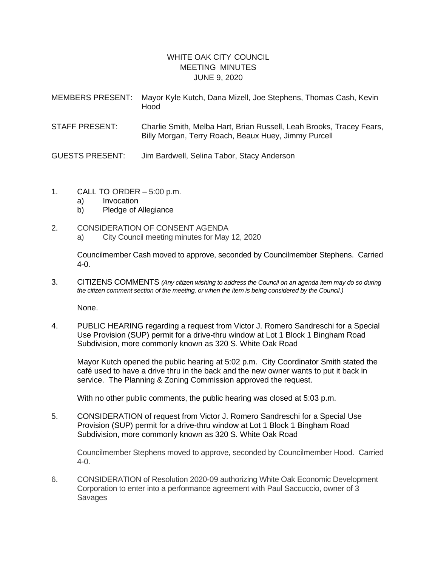## WHITE OAK CITY COUNCIL MEETING MINUTES JUNE 9, 2020

| <b>MEMBERS PRESENT:</b> | Mayor Kyle Kutch, Dana Mizell, Joe Stephens, Thomas Cash, Kevin<br>Hood                                                      |
|-------------------------|------------------------------------------------------------------------------------------------------------------------------|
| <b>STAFF PRESENT:</b>   | Charlie Smith, Melba Hart, Brian Russell, Leah Brooks, Tracey Fears,<br>Billy Morgan, Terry Roach, Beaux Huey, Jimmy Purcell |

- GUESTS PRESENT: Jim Bardwell, Selina Tabor, Stacy Anderson
- 1. CALL TO ORDER 5:00 p.m.
	- a) Invocation
	- b) Pledge of Allegiance
- 2. CONSIDERATION OF CONSENT AGENDA
	- a) City Council meeting minutes for May 12, 2020

Councilmember Cash moved to approve, seconded by Councilmember Stephens. Carried 4-0.

3. CITIZENS COMMENTS *(Any citizen wishing to address the Council on an agenda item may do so during the citizen comment section of the meeting, or when the item is being considered by the Council.)*

None.

4. PUBLIC HEARING regarding a request from Victor J. Romero Sandreschi for a Special Use Provision (SUP) permit for a drive-thru window at Lot 1 Block 1 Bingham Road Subdivision, more commonly known as 320 S. White Oak Road

Mayor Kutch opened the public hearing at 5:02 p.m. City Coordinator Smith stated the café used to have a drive thru in the back and the new owner wants to put it back in service. The Planning & Zoning Commission approved the request.

With no other public comments, the public hearing was closed at 5:03 p.m.

5. CONSIDERATION of request from Victor J. Romero Sandreschi for a Special Use Provision (SUP) permit for a drive-thru window at Lot 1 Block 1 Bingham Road Subdivision, more commonly known as 320 S. White Oak Road

Councilmember Stephens moved to approve, seconded by Councilmember Hood. Carried 4-0.

6. CONSIDERATION of Resolution 2020-09 authorizing White Oak Economic Development Corporation to enter into a performance agreement with Paul Saccuccio, owner of 3 Savages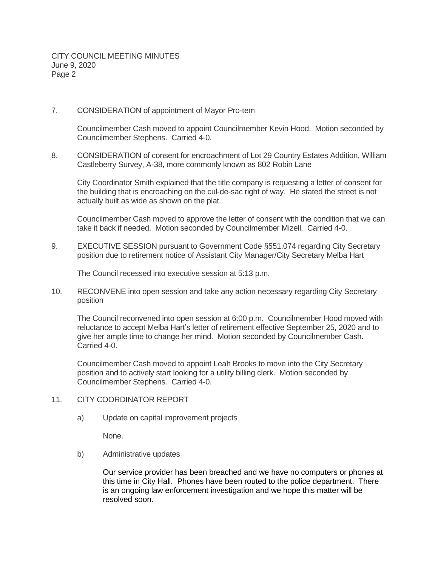CITY COUNCIL MEETING MINUTES June 9, 2020 Page 2

7. CONSIDERATION of appointment of Mayor Pro-tem

Councilmember Cash moved to appoint Councilmember Kevin Hood. Motion seconded by Councilmember Stephens. Carried 4-0.

8. CONSIDERATION of consent for encroachment of Lot 29 Country Estates Addition, William Castleberry Survey, A-38, more commonly known as 802 Robin Lane

City Coordinator Smith explained that the title company is requesting a letter of consent for the building that is encroaching on the cul-de-sac right of way. He stated the street is not actually built as wide as shown on the plat.

Councilmember Cash moved to approve the letter of consent with the condition that we can take it back if needed. Motion seconded by Councilmember Mizell. Carried 4-0.

9. EXECUTIVE SESSION pursuant to Government Code §551.074 regarding City Secretary position due to retirement notice of Assistant City Manager/City Secretary Melba Hart

The Council recessed into executive session at 5:13 p.m.

10. RECONVENE into open session and take any action necessary regarding City Secretary position

The Council reconvened into open session at 6:00 p.m. Councilmember Hood moved with reluctance to accept Melba Hart's letter of retirement effective September 25, 2020 and to give her ample time to change her mind. Motion seconded by Councilmember Cash. Carried 4-0.

Councilmember Cash moved to appoint Leah Brooks to move into the City Secretary position and to actively start looking for a utility billing clerk. Motion seconded by Councilmember Stephens. Carried 4-0.

- 11. CITY COORDINATOR REPORT
	- a) Update on capital improvement projects

None.

b) Administrative updates

Our service provider has been breached and we have no computers or phones at this time in City Hall. Phones have been routed to the police department. There is an ongoing law enforcement investigation and we hope this matter will be resolved soon.